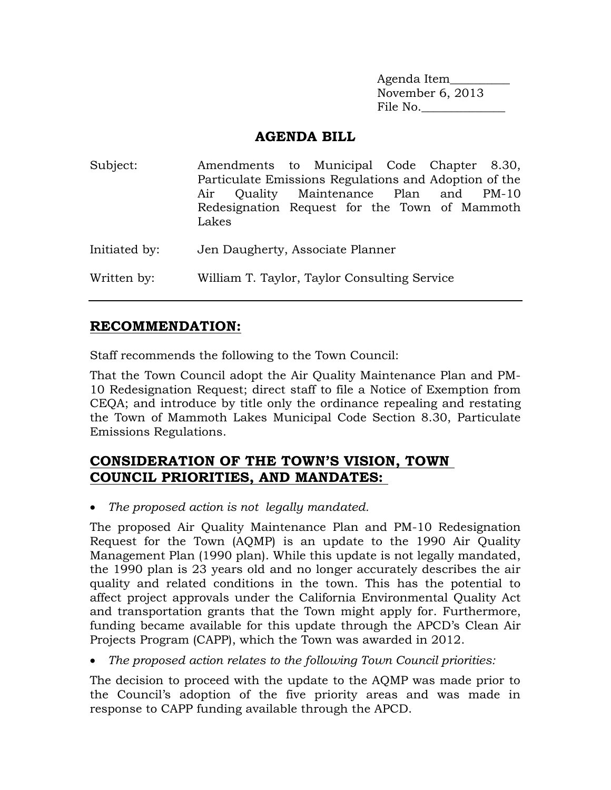Agenda Item\_\_\_\_\_\_\_\_\_\_ November 6, 2013 File No.

### **AGENDA BILL**

| Subject:      | Amendments to Municipal Code Chapter 8.30,<br>Particulate Emissions Regulations and Adoption of the<br>Air Quality Maintenance Plan and PM-10<br>Redesignation Request for the Town of Mammoth<br>Lakes |
|---------------|---------------------------------------------------------------------------------------------------------------------------------------------------------------------------------------------------------|
| Initiated by: | Jen Daugherty, Associate Planner                                                                                                                                                                        |
| Written by:   | William T. Taylor, Taylor Consulting Service                                                                                                                                                            |

### **RECOMMENDATION:**

Staff recommends the following to the Town Council:

That the Town Council adopt the Air Quality Maintenance Plan and PM-10 Redesignation Request; direct staff to file a Notice of Exemption from CEQA; and introduce by title only the ordinance repealing and restating the Town of Mammoth Lakes Municipal Code Section 8.30, Particulate Emissions Regulations.

## **CONSIDERATION OF THE TOWN'S VISION, TOWN COUNCIL PRIORITIES, AND MANDATES:**

*The proposed action is not legally mandated.*

The proposed Air Quality Maintenance Plan and PM-10 Redesignation Request for the Town (AQMP) is an update to the 1990 Air Quality Management Plan (1990 plan). While this update is not legally mandated, the 1990 plan is 23 years old and no longer accurately describes the air quality and related conditions in the town. This has the potential to affect project approvals under the California Environmental Quality Act and transportation grants that the Town might apply for. Furthermore, funding became available for this update through the APCD's Clean Air Projects Program (CAPP), which the Town was awarded in 2012.

*The proposed action relates to the following Town Council priorities:*

The decision to proceed with the update to the AQMP was made prior to the Council's adoption of the five priority areas and was made in response to CAPP funding available through the APCD.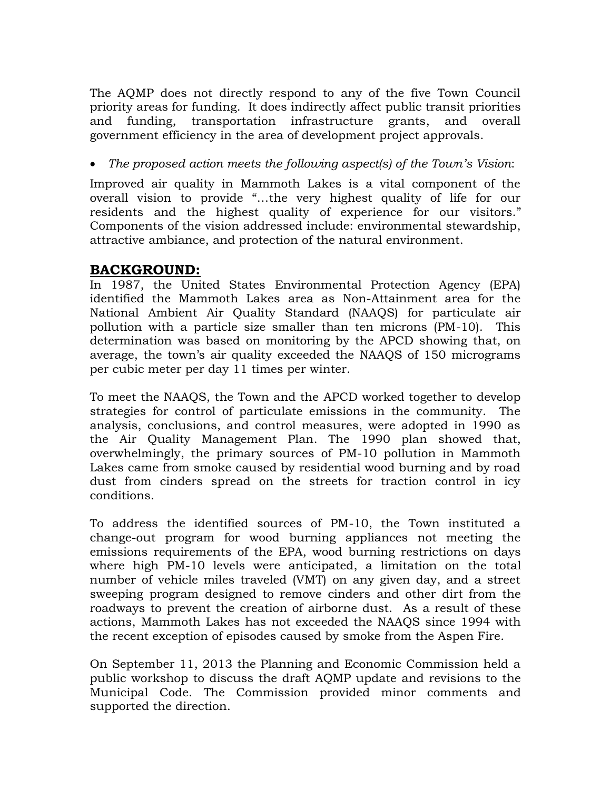The AQMP does not directly respond to any of the five Town Council priority areas for funding. It does indirectly affect public transit priorities and funding, transportation infrastructure grants, and overall government efficiency in the area of development project approvals.

*The proposed action meets the following aspect(s) of the Town's Vision*:

Improved air quality in Mammoth Lakes is a vital component of the overall vision to provide "…the very highest quality of life for our residents and the highest quality of experience for our visitors." Components of the vision addressed include: environmental stewardship, attractive ambiance, and protection of the natural environment.

# **BACKGROUND:**

In 1987, the United States Environmental Protection Agency (EPA) identified the Mammoth Lakes area as Non-Attainment area for the National Ambient Air Quality Standard (NAAQS) for particulate air pollution with a particle size smaller than ten microns (PM-10). This determination was based on monitoring by the APCD showing that, on average, the town's air quality exceeded the NAAQS of 150 micrograms per cubic meter per day 11 times per winter.

To meet the NAAQS, the Town and the APCD worked together to develop strategies for control of particulate emissions in the community. The analysis, conclusions, and control measures, were adopted in 1990 as the Air Quality Management Plan. The 1990 plan showed that, overwhelmingly, the primary sources of PM-10 pollution in Mammoth Lakes came from smoke caused by residential wood burning and by road dust from cinders spread on the streets for traction control in icy conditions.

To address the identified sources of PM-10, the Town instituted a change-out program for wood burning appliances not meeting the emissions requirements of the EPA, wood burning restrictions on days where high PM-10 levels were anticipated, a limitation on the total number of vehicle miles traveled (VMT) on any given day, and a street sweeping program designed to remove cinders and other dirt from the roadways to prevent the creation of airborne dust. As a result of these actions, Mammoth Lakes has not exceeded the NAAQS since 1994 with the recent exception of episodes caused by smoke from the Aspen Fire.

On September 11, 2013 the Planning and Economic Commission held a public workshop to discuss the draft AQMP update and revisions to the Municipal Code. The Commission provided minor comments and supported the direction.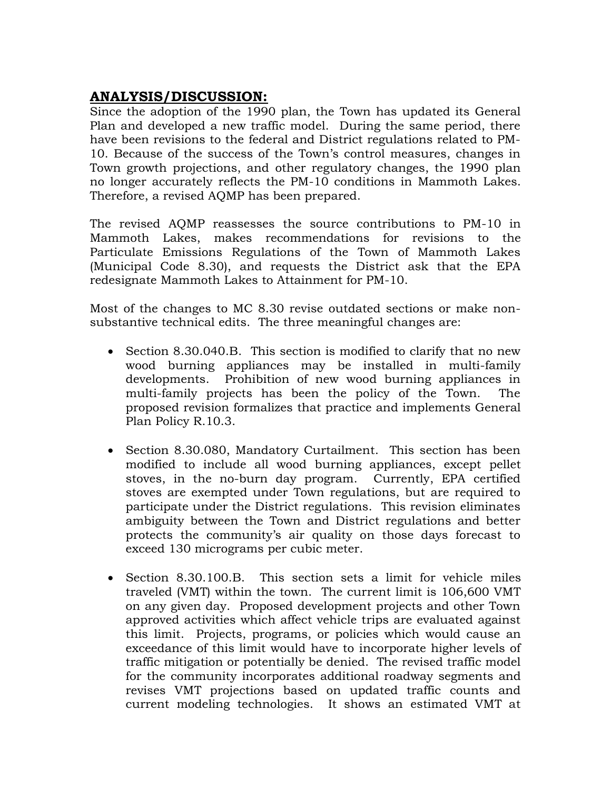# **ANALYSIS/DISCUSSION:**

Since the adoption of the 1990 plan, the Town has updated its General Plan and developed a new traffic model. During the same period, there have been revisions to the federal and District regulations related to PM-10. Because of the success of the Town's control measures, changes in Town growth projections, and other regulatory changes, the 1990 plan no longer accurately reflects the PM-10 conditions in Mammoth Lakes. Therefore, a revised AQMP has been prepared.

The revised AQMP reassesses the source contributions to PM-10 in Mammoth Lakes, makes recommendations for revisions to the Particulate Emissions Regulations of the Town of Mammoth Lakes (Municipal Code 8.30), and requests the District ask that the EPA redesignate Mammoth Lakes to Attainment for PM-10.

Most of the changes to MC 8.30 revise outdated sections or make nonsubstantive technical edits. The three meaningful changes are:

- Section 8.30.040.B. This section is modified to clarify that no new wood burning appliances may be installed in multi-family developments. Prohibition of new wood burning appliances in multi-family projects has been the policy of the Town. The proposed revision formalizes that practice and implements General Plan Policy R.10.3.
- Section 8.30.080, Mandatory Curtailment. This section has been modified to include all wood burning appliances, except pellet stoves, in the no-burn day program. Currently, EPA certified stoves are exempted under Town regulations, but are required to participate under the District regulations. This revision eliminates ambiguity between the Town and District regulations and better protects the community's air quality on those days forecast to exceed 130 micrograms per cubic meter.
- Section 8.30.100.B. This section sets a limit for vehicle miles traveled (VMT) within the town. The current limit is 106,600 VMT on any given day. Proposed development projects and other Town approved activities which affect vehicle trips are evaluated against this limit. Projects, programs, or policies which would cause an exceedance of this limit would have to incorporate higher levels of traffic mitigation or potentially be denied. The revised traffic model for the community incorporates additional roadway segments and revises VMT projections based on updated traffic counts and current modeling technologies. It shows an estimated VMT at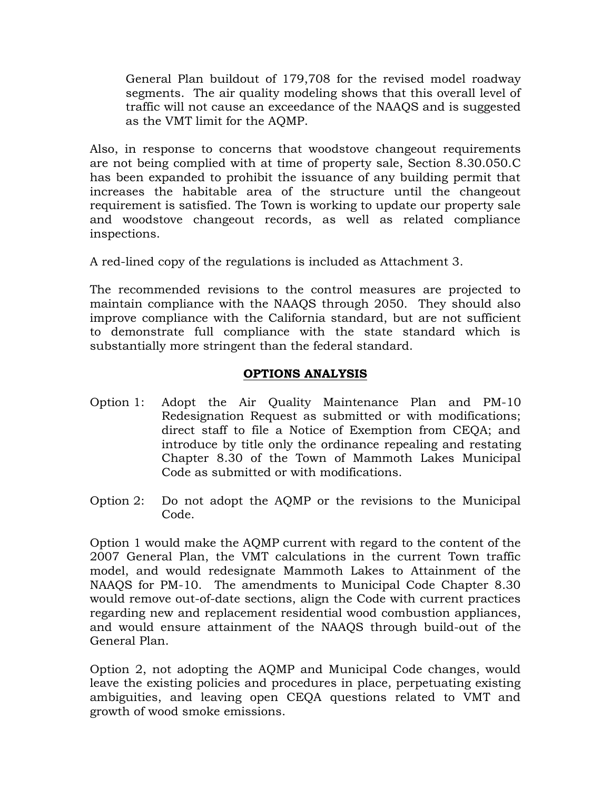General Plan buildout of 179,708 for the revised model roadway segments. The air quality modeling shows that this overall level of traffic will not cause an exceedance of the NAAQS and is suggested as the VMT limit for the AQMP.

Also, in response to concerns that woodstove changeout requirements are not being complied with at time of property sale, Section 8.30.050.C has been expanded to prohibit the issuance of any building permit that increases the habitable area of the structure until the changeout requirement is satisfied. The Town is working to update our property sale and woodstove changeout records, as well as related compliance inspections.

A red-lined copy of the regulations is included as Attachment 3.

The recommended revisions to the control measures are projected to maintain compliance with the NAAQS through 2050. They should also improve compliance with the California standard, but are not sufficient to demonstrate full compliance with the state standard which is substantially more stringent than the federal standard.

#### **OPTIONS ANALYSIS**

- Option 1: Adopt the Air Quality Maintenance Plan and PM-10 Redesignation Request as submitted or with modifications; direct staff to file a Notice of Exemption from CEQA; and introduce by title only the ordinance repealing and restating Chapter 8.30 of the Town of Mammoth Lakes Municipal Code as submitted or with modifications.
- Option 2: Do not adopt the AQMP or the revisions to the Municipal Code.

Option 1 would make the AQMP current with regard to the content of the 2007 General Plan, the VMT calculations in the current Town traffic model, and would redesignate Mammoth Lakes to Attainment of the NAAQS for PM-10. The amendments to Municipal Code Chapter 8.30 would remove out-of-date sections, align the Code with current practices regarding new and replacement residential wood combustion appliances, and would ensure attainment of the NAAQS through build-out of the General Plan.

Option 2, not adopting the AQMP and Municipal Code changes, would leave the existing policies and procedures in place, perpetuating existing ambiguities, and leaving open CEQA questions related to VMT and growth of wood smoke emissions.